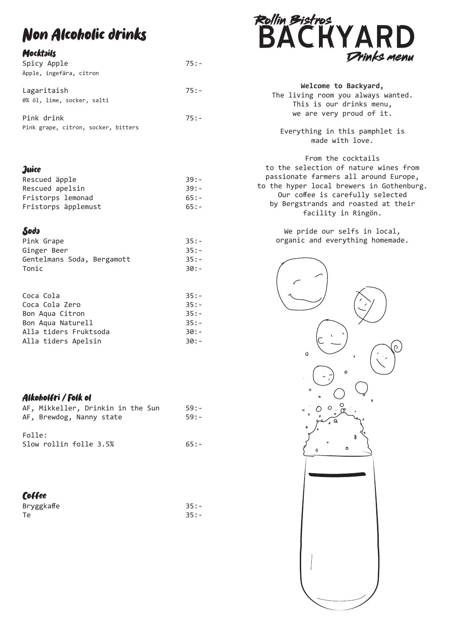# Non Alcoholic drinks

### **Mocktails**

| Spicy Apple                         | $75: -$ |
|-------------------------------------|---------|
| Äpple, ingefära, citron             |         |
|                                     |         |
| Lagaritaish                         | $75: -$ |
| 0% öl, lime, socker, salti          |         |
| Pink drink                          | $75: -$ |
|                                     |         |
| Pink grape, citron, socker, bitters |         |

#### **Juice**

| Rescued äpple       | $39: -$ |
|---------------------|---------|
| Rescued apelsin     | $39: -$ |
| Fristorps lemonad   | $65: -$ |
| Fristorps äpplemust | $65: -$ |

### Soda

| Pink Grape                 | $35: -$ |
|----------------------------|---------|
| Ginger Beer                | $35: -$ |
| Gentelmans Soda, Bergamott | $35: -$ |
| Tonic                      | 30:-    |

| Coca Cola             | $35: -$ |
|-----------------------|---------|
| Coca Cola Zero        | $35: -$ |
| Bon Aqua Citron       | $35: -$ |
| Bon Aqua Naturell     | $35: -$ |
| Alla tiders Fruktsoda | 30:-    |
| Alla tiders Apelsin   | 30:-    |
|                       |         |

### Alkoholfri / Folk ol

|        | AF, Mikkeller, Drinkin in the Sun | $59: -$ |
|--------|-----------------------------------|---------|
|        | AF, Brewdog, Nanny state          | $59: -$ |
|        |                                   |         |
| Folle: |                                   |         |

| 1011C |                        |  |         |
|-------|------------------------|--|---------|
|       | Slow rollin folle 3.5% |  | $65: -$ |

### **Coffee**

| Bryggkaffe | $35: -$ |
|------------|---------|
| Te         | $35: -$ |



| Welcome to Backyard,               |
|------------------------------------|
| The living room you always wanted. |
| This is our drinks menu,           |
| we are very proud of it.           |
|                                    |
| Everything in this pamphlet is     |

From the cocktails to the selection of nature wines from passionate farmers all around Europe, to the hyper local brewers in Gothenburg. Our coffee is carefully selected by Bergstrands and roasted at their facility in Ringön.

made with love.

We pride our selfs in local, organic and everything homemade.

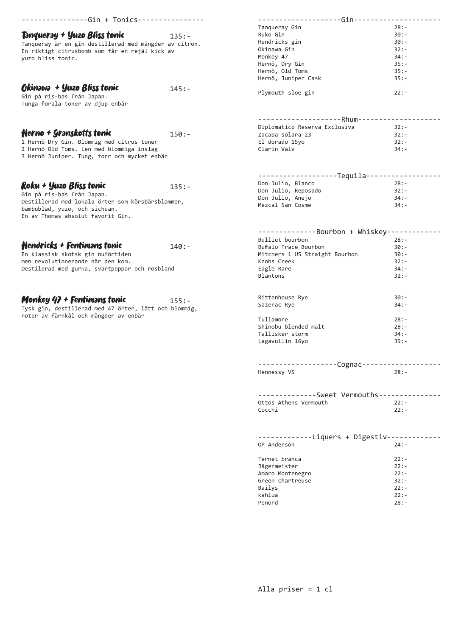| -------------Gin + Tonics----------------                           |          | -----------Gin---------                  |                    |
|---------------------------------------------------------------------|----------|------------------------------------------|--------------------|
|                                                                     |          | Tanqueray Gin                            | $28: -$            |
| Tənque <b>r</b> əy + Yuzo Bliss tonic                               | $135: -$ | Ruko Gin                                 | $30:-$             |
| Tanqueray är en gin destillerad med mängder av citron.              |          | Hendricks gin                            | $30:-$             |
|                                                                     |          | Okinawa Gin                              | $32:-$             |
| En riktigt citrusbomb som får en rejäl kick av<br>yuzo bliss tonic. |          | Monkey 47                                | $34: -$            |
|                                                                     |          | Hernö, Dry Gin                           | $35: -$            |
|                                                                     |          | Hernö, Old Toms                          | $35: -$            |
|                                                                     |          | Hernö, Juniper Cask                      | $35: -$            |
|                                                                     |          |                                          |                    |
| Okinawa + Yuzo Bliss tonic                                          | $145: -$ | Plymouth sloe gin                        | $22: -$            |
| Gin på ris-bas från Japan.                                          |          |                                          |                    |
| Tunga florala toner av djup enbär                                   |          |                                          |                    |
|                                                                     |          |                                          |                    |
|                                                                     |          | -------------------Rhum-----------       |                    |
|                                                                     |          | Diplomatico Reserva Exclusiva            | $32: -$            |
| Herno + Granskotts tonic                                            | $150:-$  | Zacapa solara 23                         | $32: -$            |
| 1 Hernö Dry Gin. Blommig med citrus toner                           |          | El dorado 15yo                           | $32: -$            |
| 2 Hernö Old Toms. Len med blommiga inslag                           |          | Clarin Valv                              | $34: -$            |
| 3 Hernö Juniper. Tung, torr och mycket enbär                        |          |                                          |                    |
|                                                                     |          |                                          |                    |
|                                                                     |          |                                          |                    |
|                                                                     |          | -------------------Tequila-----------    |                    |
| Roku + Yuzo Bliss tonic                                             | $135: -$ | Don Julio, Blanco                        | $28: -$            |
| Gin på ris-bas från Japan.                                          |          | Don Julio, Reposado                      | $32: -$            |
| Destillerad med lokala örter som körsbärsblommor,                   |          | Don Julio, Anejo                         | $34: -$            |
| bambublad, yuzo, och sichuan.                                       |          | Mezcal San Cosme                         | $34: -$            |
| En av Thomas absolut favorit Gin.                                   |          |                                          |                    |
|                                                                     |          |                                          |                    |
|                                                                     |          | --------------Bourbon + Whiskey--------  |                    |
|                                                                     |          | Bulliet bourbon                          | $28: -$            |
| Hendricks + Fentimans tonic                                         | $140:-$  | Buffalo Trace Bourbon                    | $30:-$             |
| En klassisk skotsk gin nuförtiden                                   |          | Mitchers 1 US Straight Bourbon           | $30:-$             |
| men revolutionerande när den kom.                                   |          |                                          | $32: -$            |
|                                                                     |          | Knobs Creek                              |                    |
| Destilerad med gurka, svartpeppar och rosbland                      |          | Eagle Rare                               | $34: -$            |
|                                                                     |          | <b>Blantons</b>                          | $32: -$            |
|                                                                     |          |                                          |                    |
|                                                                     |          | Rittenhouse Rye                          | $30:-$             |
| Monkey 47 + Fentimans tonic                                         | $155: -$ | Sazerac Rye                              | $34: -$            |
| Tysk gin, destillerad med 47 örter, lätt och blommig,               |          |                                          |                    |
| noter av färnkål och mängder av enbär                               |          | Tullamore                                | $28: -$            |
|                                                                     |          | Shinobu blended malt                     | $28: -$            |
|                                                                     |          | Tallisker storm                          | $34: -$            |
|                                                                     |          |                                          | $39: -$            |
|                                                                     |          | Lagavuilin 16yo                          |                    |
|                                                                     |          |                                          |                    |
|                                                                     |          |                                          |                    |
|                                                                     |          |                                          |                    |
|                                                                     |          | -----------------Cognac---------------   |                    |
|                                                                     |          | Hennessy VS                              | $28: -$            |
|                                                                     |          |                                          |                    |
|                                                                     |          |                                          |                    |
|                                                                     |          | -------------Sweet Vermouths------------ |                    |
|                                                                     |          | Ottos Athens Vermouth                    | $22:-$             |
|                                                                     |          | Cocchi                                   | $22:-$             |
|                                                                     |          |                                          |                    |
|                                                                     |          |                                          |                    |
|                                                                     |          |                                          |                    |
|                                                                     |          | -------------Liquers + Digestiv-------   |                    |
|                                                                     |          | OP Anderson                              | $24: -$            |
|                                                                     |          |                                          |                    |
|                                                                     |          | Fernet branca                            | $22: -$            |
|                                                                     |          | Jägermeister                             | $22: -$            |
|                                                                     |          | Amaro Montenegro                         | $22: -$            |
|                                                                     |          | Green chartreuse                         | $32: -$            |
|                                                                     |          | Bailys                                   | $22: -$            |
|                                                                     |          | kahlua<br>Penord                         | $22: -$<br>$28: -$ |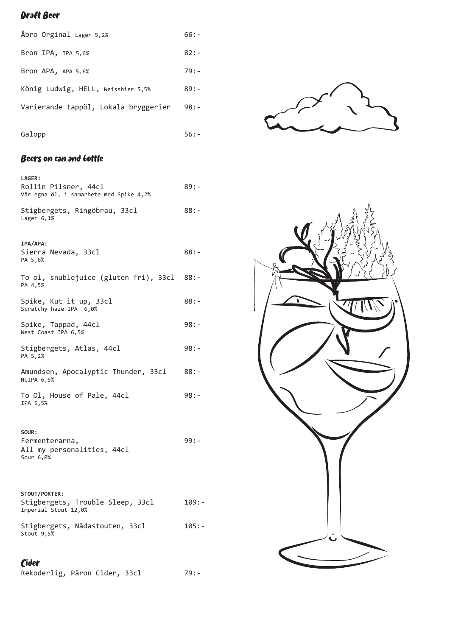## Draft Beer

| Abro Orginal Lager 5,2%              | $66: -$ |
|--------------------------------------|---------|
| Bron IPA, IPA 5,6%                   | $82:-$  |
| Bron APA, APA 5,6%                   | $79: -$ |
| König Ludwig, HELL, Weissbier 5,5%   | $89: -$ |
| Varierande tappöl, Lokala bryggerier | $98: -$ |
| Galopp                               | 56 : -  |

## Beers on can and bottle

| <b>LAGER:</b><br>Rollin Pilsner, 44cl<br>Vår egna öl, i samarbete med Spike 4,2% | 89:-     |
|----------------------------------------------------------------------------------|----------|
| Stigbergets, Ringöbrau, 33cl<br>Lager $6,1%$                                     | $88: -$  |
| IPA/APA:<br>Sierra Nevada, 33cl<br>PA 5,6%                                       | 88:-     |
| To ol, snublejuice (gluten fri), 33cl 88:-<br>PA 4,5%                            |          |
| Spike, Kut it up, 33cl<br>Scratchy haze IPA 6,0%                                 | 88:-     |
| Spike, Tappad, 44cl<br>West Coast IPA 6,5%                                       | 98:-     |
| Stigbergets, Atlas, 44cl<br>PA 5,2%                                              | $98: -$  |
| Amundsen, Apocalyptic Thunder, 33cl<br>NeIPA 6,5%                                | $88: -$  |
| To Ol, House of Pale, 44cl<br>IPA 5,5%                                           | $98: -$  |
| SOUR:<br>Fermenterarna,<br>All my personalities, 44cl<br>Sour 6,0%               | 99 : -   |
| STOUT/PORTER:<br>Stigbergets, Trouble Sleep, 33cl<br>Imperial Stout 12,0%        | $109: -$ |
| Stigbergets, Nådastouten, 33cl<br>Stout 9,5%                                     | $105:-$  |
|                                                                                  |          |

# Cider

Rekoderlig, Päron Cider, 33cl 79:-